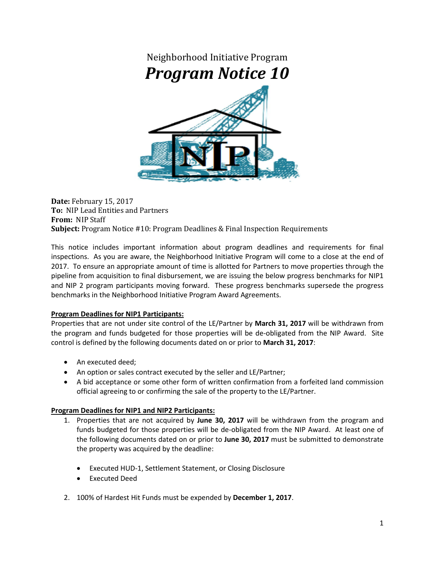

**Date:** February 15, 2017 **To:** NIP Lead Entities and Partners **From:** NIP Staff **Subject:** Program Notice #10: Program Deadlines & Final Inspection Requirements

This notice includes important information about program deadlines and requirements for final inspections. As you are aware, the Neighborhood Initiative Program will come to a close at the end of 2017. To ensure an appropriate amount of time is allotted for Partners to move properties through the pipeline from acquisition to final disbursement, we are issuing the below progress benchmarks for NIP1 and NIP 2 program participants moving forward. These progress benchmarks supersede the progress benchmarks in the Neighborhood Initiative Program Award Agreements.

## **Program Deadlines for NIP1 Participants:**

Properties that are not under site control of the LE/Partner by **March 31, 2017** will be withdrawn from the program and funds budgeted for those properties will be de-obligated from the NIP Award. Site control is defined by the following documents dated on or prior to **March 31, 2017**:

- An executed deed;
- An option or sales contract executed by the seller and LE/Partner;
- A bid acceptance or some other form of written confirmation from a forfeited land commission official agreeing to or confirming the sale of the property to the LE/Partner.

## **Program Deadlines for NIP1 and NIP2 Participants:**

- 1. Properties that are not acquired by **June 30, 2017** will be withdrawn from the program and funds budgeted for those properties will be de-obligated from the NIP Award. At least one of the following documents dated on or prior to **June 30, 2017** must be submitted to demonstrate the property was acquired by the deadline:
	- Executed HUD-1, Settlement Statement, or Closing Disclosure
	- Executed Deed
- 2. 100% of Hardest Hit Funds must be expended by **December 1, 2017**.